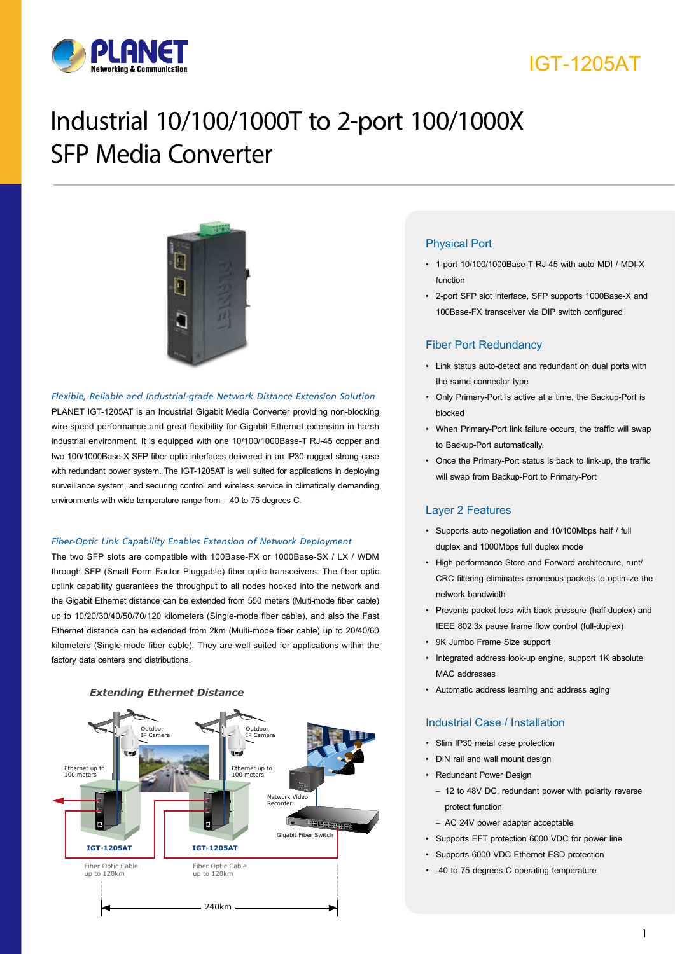

# IGT-1205AT

# Industrial 10/100/1000T to 2-port 100/1000X SFP Media Converter



#### *Flexible, Reliable and Industrial-grade Network Distance Extension Solution*

PLANET IGT-1205AT is an Industrial Gigabit Media Converter providing non-blocking wire-speed performance and great flexibility for Gigabit Ethernet extension in harsh industrial environment. It is equipped with one 10/100/1000Base-T RJ-45 copper and two 100/1000Base-X SFP fiber optic interfaces delivered in an IP30 rugged strong case with redundant power system. The IGT-1205AT is well suited for applications in deploying surveillance system, and securing control and wireless service in climatically demanding environments with wide temperature range from – 40 to 75 degrees C.

#### *Fiber-Optic Link Capability Enables Extension of Network Deployment*

The two SFP slots are compatible with 100Base-FX or 1000Base-SX / LX / WDM through SFP (Small Form Factor Pluggable) fiber-optic transceivers. The fiber optic uplink capability guarantees the throughput to all nodes hooked into the network and the Gigabit Ethernet distance can be extended from 550 meters (Multi-mode fiber cable) up to 10/20/30/40/50/70/120 kilometers (Single-mode fiber cable), and also the Fast Ethernet distance can be extended from 2km (Multi-mode fiber cable) up to 20/40/60 kilometers (Single-mode fiber cable). They are well suited for applications within the factory data centers and distributions.



#### *Extending Ethernet Distance*

#### Physical Port

- • 1-port 10/100/1000Base-T RJ-45 with auto MDI / MDI-X function
- • 2-port SFP slot interface, SFP supports 1000Base-X and 100Base-FX transceiver via DIP switch configured

#### Fiber Port Redundancy

- • Link status auto-detect and redundant on dual ports with the same connector type
- • Only Primary-Port is active at a time, the Backup-Port is blocked
- • When Primary-Port link failure occurs, the traffic will swap to Backup-Port automatically.
- • Once the Primary-Port status is back to link-up, the traffic will swap from Backup-Port to Primary-Port

#### Layer 2 Features

- • Supports auto negotiation and 10/100Mbps half / full duplex and 1000Mbps full duplex mode
- • High performance Store and Forward architecture, runt/ CRC filtering eliminates erroneous packets to optimize the network bandwidth
- Prevents packet loss with back pressure (half-duplex) and IEEE 802.3x pause frame flow control (full-duplex)
- • 9K Jumbo Frame Size support
- Integrated address look-up engine, support 1K absolute MAC addresses
- • Automatic address learning and address aging

#### Industrial Case / Installation

- • Slim IP30 metal case protection
- DIN rail and wall mount design
- • Redundant Power Design
	- 12 to 48V DC, redundant power with polarity reverse protect function
	- AC 24V power adapter acceptable
- • Supports EFT protection 6000 VDC for power line
- Supports 6000 VDC Ethernet ESD protection
- • -40 to 75 degrees C operating temperature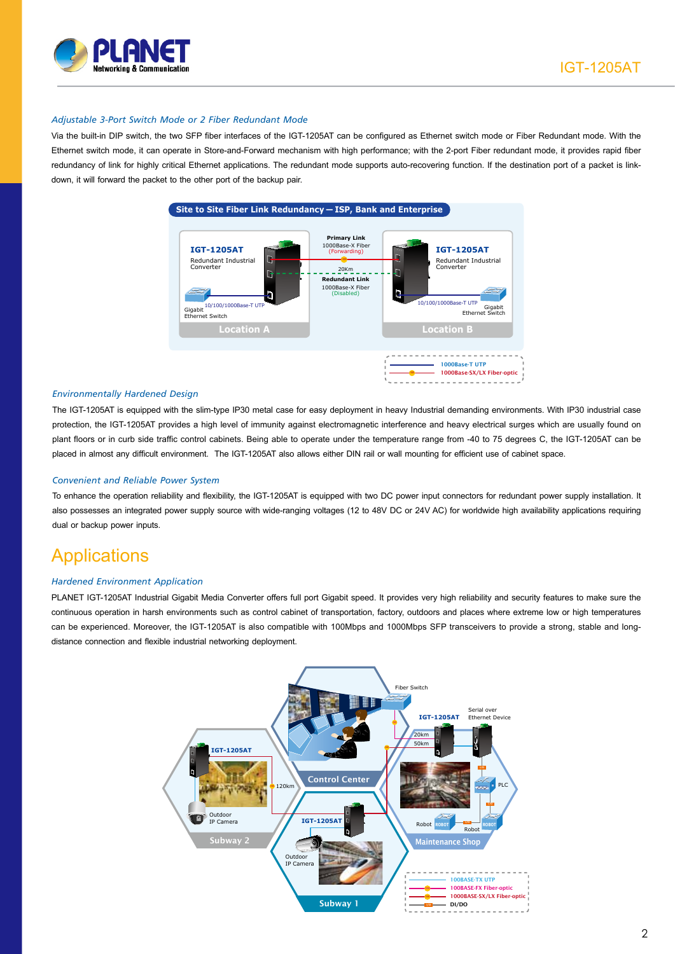

#### *Adjustable 3-Port Switch Mode or 2 Fiber Redundant Mode*

Via the built-in DIP switch, the two SFP fiber interfaces of the IGT-1205AT can be configured as Ethernet switch mode or Fiber Redundant mode. With the Ethernet switch mode, it can operate in Store-and-Forward mechanism with high performance; with the 2-port Fiber redundant mode, it provides rapid fiber redundancy of link for highly critical Ethernet applications. The redundant mode supports auto-recovering function. If the destination port of a packet is linkdown, it will forward the packet to the other port of the backup pair.



#### *Environmentally Hardened Design*

The IGT-1205AT is equipped with the slim-type IP30 metal case for easy deployment in heavy Industrial demanding environments. With IP30 industrial case protection, the IGT-1205AT provides a high level of immunity against electromagnetic interference and heavy electrical surges which are usually found on plant floors or in curb side traffic control cabinets. Being able to operate under the temperature range from -40 to 75 degrees C, the IGT-1205AT can be placed in almost any difficult environment. The IGT-1205AT also allows either DIN rail or wall mounting for efficient use of cabinet space.

#### *Convenient and Reliable Power System*

To enhance the operation reliability and flexibility, the IGT-1205AT is equipped with two DC power input connectors for redundant power supply installation. It also possesses an integrated power supply source with wide-ranging voltages (12 to 48V DC or 24V AC) for worldwide high availability applications requiring dual or backup power inputs.

### **Applications**

#### *Hardened Environment Application*

PLANET IGT-1205AT Industrial Gigabit Media Converter offers full port Gigabit speed. It provides very high reliability and security features to make sure the continuous operation in harsh environments such as control cabinet of transportation, factory, outdoors and places where extreme low or high temperatures can be experienced. Moreover, the IGT-1205AT is also compatible with 100Mbps and 1000Mbps SFP transceivers to provide a strong, stable and longdistance connection and flexible industrial networking deployment.

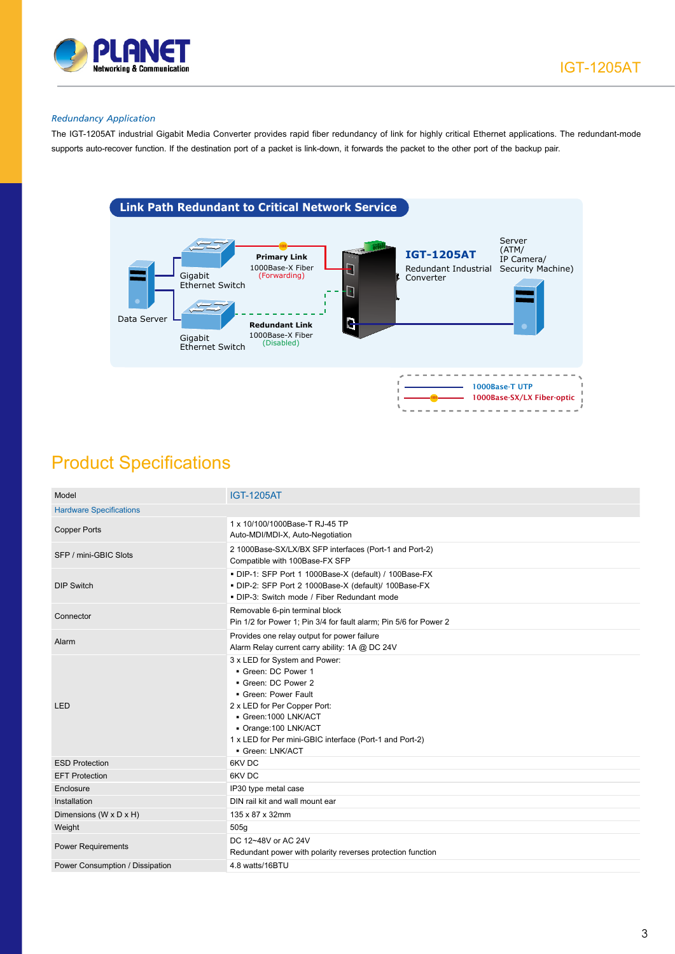

#### *Redundancy Application*

The IGT-1205AT industrial Gigabit Media Converter provides rapid fiber redundancy of link for highly critical Ethernet applications. The redundant-mode supports auto-recover function. If the destination port of a packet is link-down, it forwards the packet to the other port of the backup pair.



## Product Specifications

| <b>IGT-1205AT</b>                                                                                                                                                                                                                                          |  |  |  |
|------------------------------------------------------------------------------------------------------------------------------------------------------------------------------------------------------------------------------------------------------------|--|--|--|
| <b>Hardware Specifications</b>                                                                                                                                                                                                                             |  |  |  |
| 1 x 10/100/1000Base-T RJ-45 TP<br>Auto-MDI/MDI-X, Auto-Negotiation                                                                                                                                                                                         |  |  |  |
| 2 1000Base-SX/LX/BX SFP interfaces (Port-1 and Port-2)<br>Compatible with 100Base-FX SFP                                                                                                                                                                   |  |  |  |
| DIP-1: SFP Port 1 1000Base-X (default) / 100Base-FX<br>DIP-2: SFP Port 2 1000Base-X (default)/ 100Base-FX<br>• DIP-3: Switch mode / Fiber Redundant mode                                                                                                   |  |  |  |
| Removable 6-pin terminal block<br>Pin 1/2 for Power 1; Pin 3/4 for fault alarm; Pin 5/6 for Power 2                                                                                                                                                        |  |  |  |
| Provides one relay output for power failure<br>Alarm Relay current carry ability: 1A @ DC 24V                                                                                                                                                              |  |  |  |
| 3 x LED for System and Power:<br>Green: DC Power 1<br>Green: DC Power 2<br>• Green: Power Fault<br>2 x LED for Per Copper Port:<br>Green: 1000 LNK/ACT<br>Orange: 100 LNK/ACT<br>1 x LED for Per mini-GBIC interface (Port-1 and Port-2)<br>Green: LNK/ACT |  |  |  |
| 6KV DC                                                                                                                                                                                                                                                     |  |  |  |
| 6KV DC                                                                                                                                                                                                                                                     |  |  |  |
| IP30 type metal case                                                                                                                                                                                                                                       |  |  |  |
| DIN rail kit and wall mount ear                                                                                                                                                                                                                            |  |  |  |
| 135 x 87 x 32mm                                                                                                                                                                                                                                            |  |  |  |
| 505g                                                                                                                                                                                                                                                       |  |  |  |
| DC 12~48V or AC 24V<br>Redundant power with polarity reverses protection function                                                                                                                                                                          |  |  |  |
| 4.8 watts/16BTU                                                                                                                                                                                                                                            |  |  |  |
|                                                                                                                                                                                                                                                            |  |  |  |